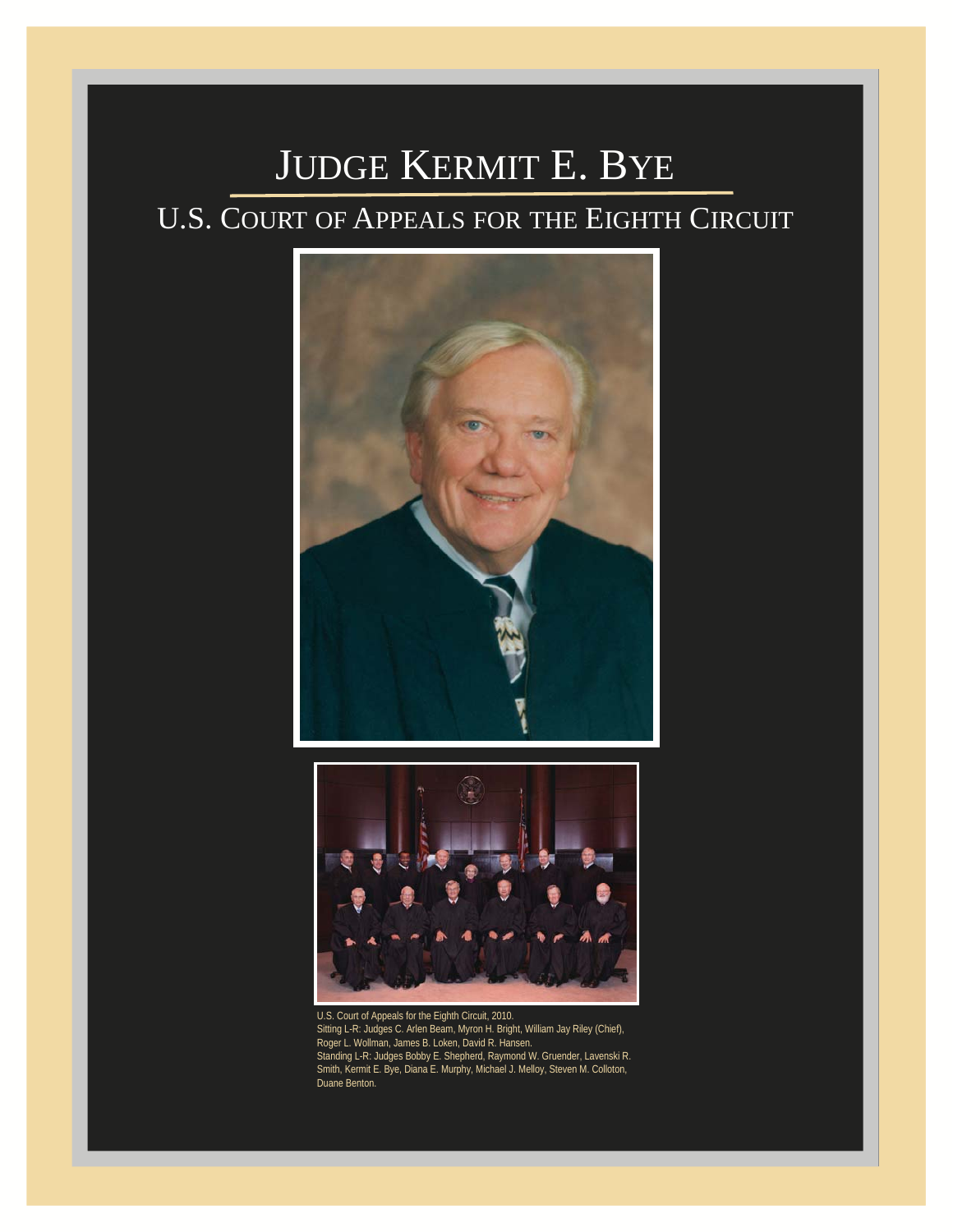# JUDGE KERMIT E. BYE

## U.S. COURT OF APPEALS FOR THE EIGHTH CIRCUIT





U.S. Court of Appeals for the Eighth Circuit, 2010. Sitting L-R: Judges C. Arlen Beam, Myron H. Bright, William Jay Riley (Chief), Roger L. Wollman, James B. Loken, David R. Hansen. Standing L-R: Judges Bobby E. Shepherd, Raymond W. Gruender, Lavenski R. Smith, Kermit E. Bye, Diana E. Murphy, Michael J. Melloy, Steven M. Colloton, Duane Benton.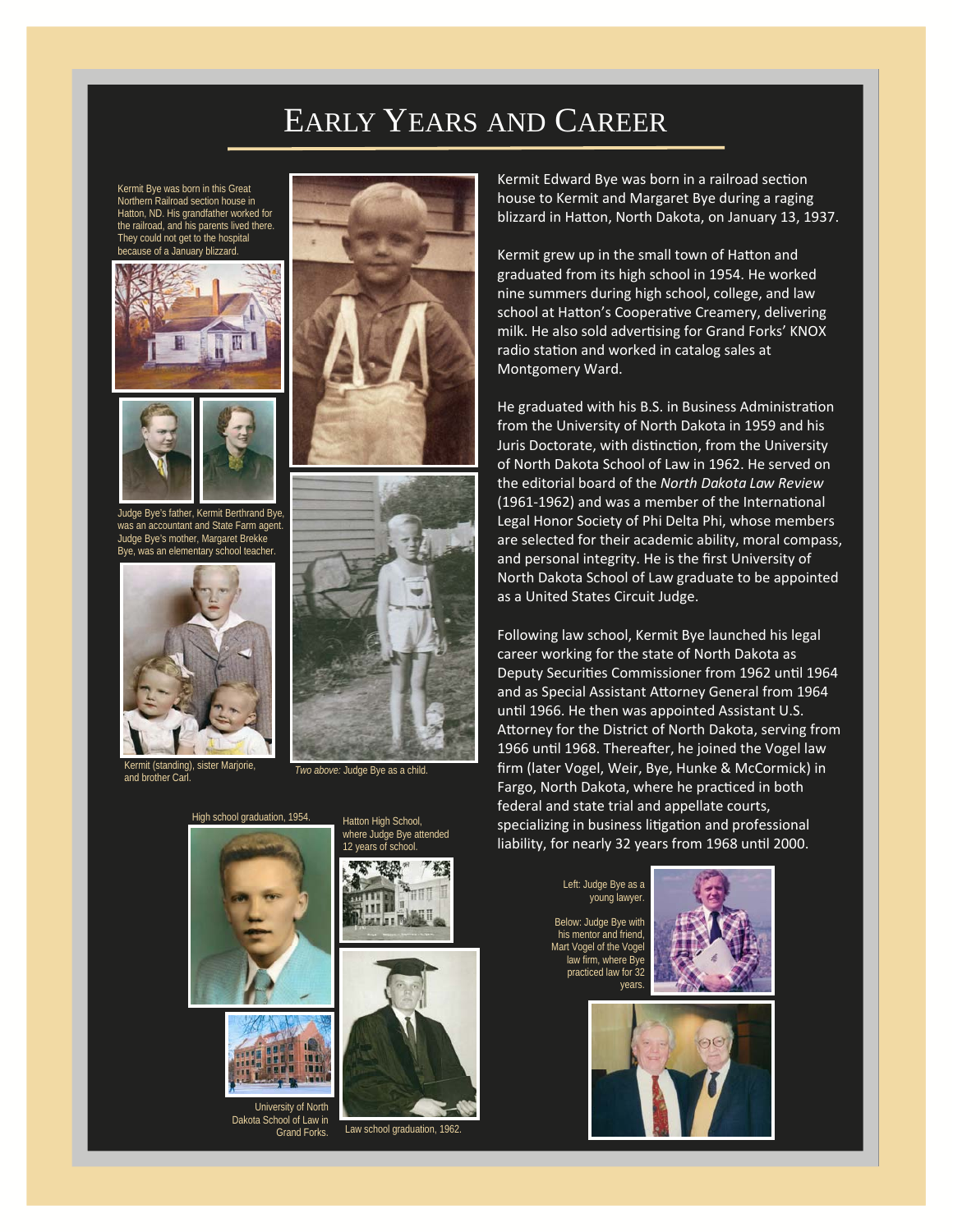### EARLY YEARS AND CAREER

Kermit Bye was born in this Great Northern Railroad section house in Hatton, ND. His grandfather worked for the railroad, and his parents lived there. They could not get to the hospital because of a January blizzard.





Judge Bye's father, Kermit Berthrand Bye, was an accountant and State Farm agent. Judge Bye's mother, Margaret Brekke Bye, was an elementary school teacher.



Kermit (standing), sister Marjorie,





Two above: Judge Bye as a child

Kermit Edward Bye was born in a railroad section house to Kermit and Margaret Bye during a raging blizzard in Hatton, North Dakota, on January 13, 1937.

Kermit grew up in the small town of Hatton and graduated from its high school in 1954. He worked nine summers during high school, college, and law school at Hatton's Cooperative Creamery, delivering milk. He also sold advertising for Grand Forks' KNOX radio station and worked in catalog sales at Montgomery Ward.

He graduated with his B.S. in Business Administration from the University of North Dakota in 1959 and his Juris Doctorate, with distinction, from the University of North Dakota School of Law in 1962. He served on the editorial board of the *North Dakota Law Review*   $(1961-1962)$  and was a member of the International Legal Honor Society of Phi Delta Phi, whose members are selected for their academic ability, moral compass, and personal integrity. He is the first University of North Dakota School of Law graduate to be appointed as a United States Circuit Judge.

Following law school, Kermit Bye launched his legal career working for the state of North Dakota as Deputy Securities Commissioner from 1962 until 1964 and as Special Assistant Attorney General from 1964 until 1966. He then was appointed Assistant U.S. Attorney for the District of North Dakota, serving from 1966 until 1968. Thereafter, he joined the Vogel law firm (later Vogel, Weir, Bye, Hunke & McCormick) in Fargo, North Dakota, where he practiced in both federal and state trial and appellate courts, specializing in business litigation and professional liability, for nearly 32 years from 1968 until 2000.

> Left: Judge Bye as a young lawyer. Below: Judge Bye with his mentor and friend, Mart Vogel of the Vogel law firm, where Bye practiced law for 32 years.









University of North Dakota School of Law in Grand Forks.

where Judge Bye attended 12 years of school.





Law school graduation, 1962.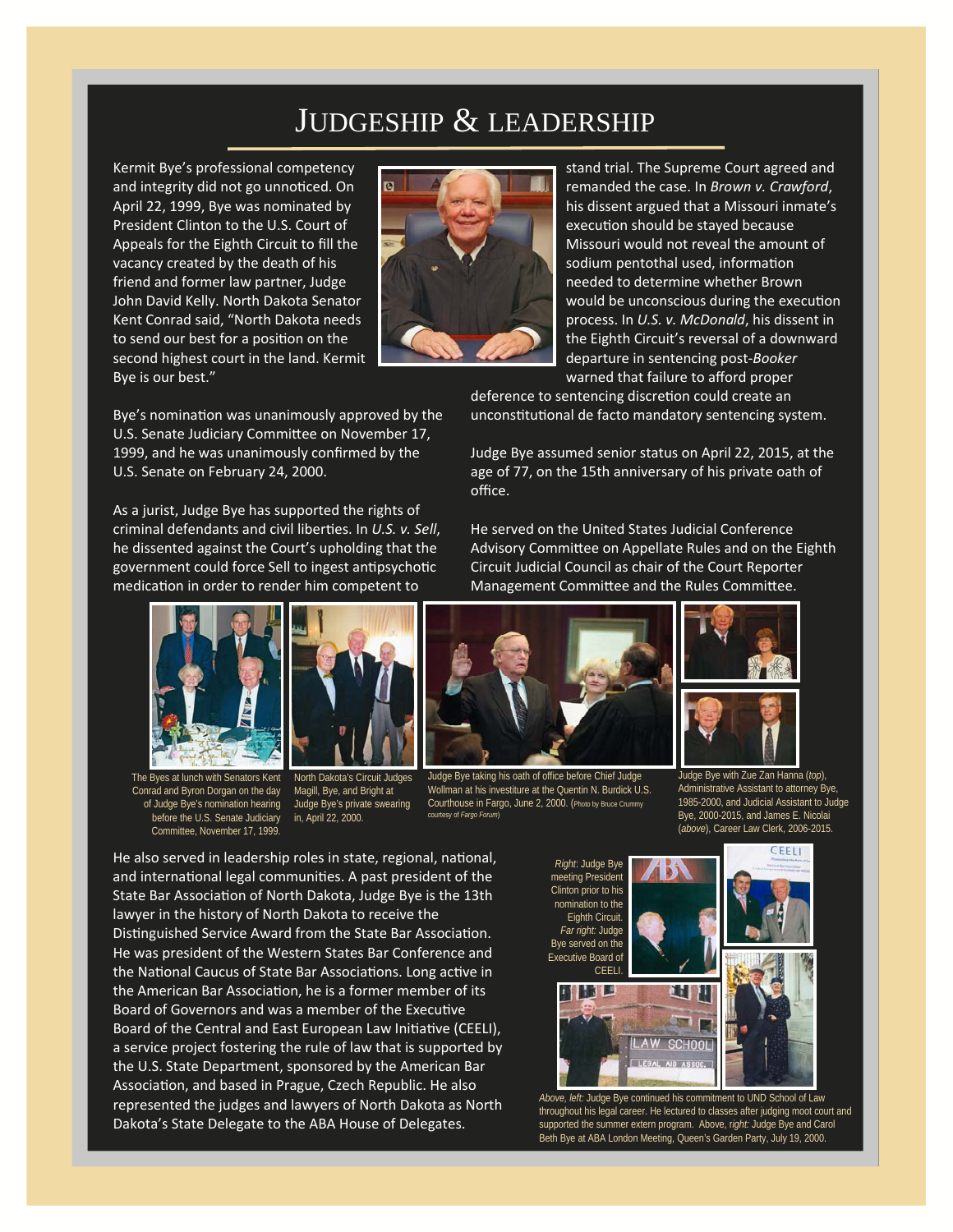#### JUDGESHIP & LEADERSHIP

Kermit Bye's professional competency and integrity did not go unnoticed. On April 22, 1999, Bye was nominated by President Clinton to the U.S. Court of Appeals for the Eighth Circuit to fill the vacancy created by the death of his friend and former law partner, Judge John David Kelly. North Dakota Senator Kent Conrad said, "North Dakota needs to send our best for a position on the second highest court in the land. Kermit Bye is our best."



stand trial. The Supreme Court agreed and remanded the case. In *Brown v. Crawford*, his dissent argued that a Missouri inmate's execution should be stayed because Missouri would not reveal the amount of sodium pentothal used, information needed to determine whether Brown would be unconscious during the execution process. In *U.S. v. McDonald*, his dissent in the Eighth Circuit's reversal of a downward departure in sentencing post‐*Booker* warned that failure to afford proper

deference to sentencing discretion could create an unconstitutional de facto mandatory sentencing system.

He served on the United States Judicial Conference Advisory Committee on Appellate Rules and on the Eighth Circuit Judicial Council as chair of the Court Reporter

Judge Bye assumed senior status on April 22, 2015, at the age of 77, on the 15th anniversary of his private oath of

Bye's nomination was unanimously approved by the U.S. Senate Judiciary Committee on November 17, 1999, and he was unanimously confirmed by the U.S. Senate on February 24, 2000.

As a jurist, Judge Bye has supported the rights of criminal defendants and civil liberties. In *U.S. v. Sell*, he dissented against the Court's upholding that the government could force Sell to ingest antipsychotic medication in order to render him competent to



The Byes at lunch with Senators Kent Conrad and Byron Dorgan on the day of Judge Bye's nomination hearing before the U.S. Senate Judiciary Committee, November 17, 1999.



North Dakota's Circuit Judges Magill, Bye, and Bright at Judge Bye's private swearing in, April 22, 2000.

Judge Bye taking his oath of office before Chief Judge

Wollman at his investiture at the Quentin N. Burdick U.S. Courthouse in Fargo, June 2, 2000. (Photo by Bruce Crummy



Judge Bye with Zue Zan Hanna (*top*), Administrative Assistant to attorney Bye, 1985-2000, and Judicial Assistant to Judge Bye, 2000-2015, and James E. Nicolai (*above*), Career Law Clerk, 2006-2015.

He also served in leadership roles in state, regional, national, and international legal communities. A past president of the State Bar Association of North Dakota, Judge Bye is the 13th lawyer in the history of North Dakota to receive the Distinguished Service Award from the State Bar Association. He was president of the Western States Bar Conference and the National Caucus of State Bar Associations. Long active in the American Bar Association, he is a former member of its Board of Governors and was a member of the Executive Board of the Central and East European Law Initiative (CEELI), a service project fostering the rule of law that is supported by the U.S. State Department, sponsored by the American Bar Association, and based in Prague, Czech Republic. He also represented the judges and lawyers of North Dakota as North Dakota's State Delegate to the ABA House of Delegates.





*Above, left:* Judge Bye continued his commitment to UND School of Law throughout his legal career. He lectured to classes after judging moot court and supported the summer extern program. Above, r*ight:* Judge Bye and Carol Beth Bye at ABA London Meeting, Queen's Garden Party, July 19, 2000.



tesy of *Fargo Foru* 

office.